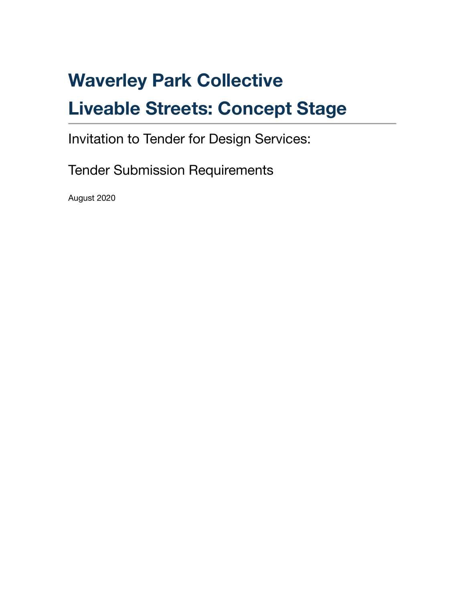# **Waverley Park Collective**

# **Liveable Streets: Concept Stage**

Invitation to Tender for Design Services:

Tender Submission Requirements

August 2020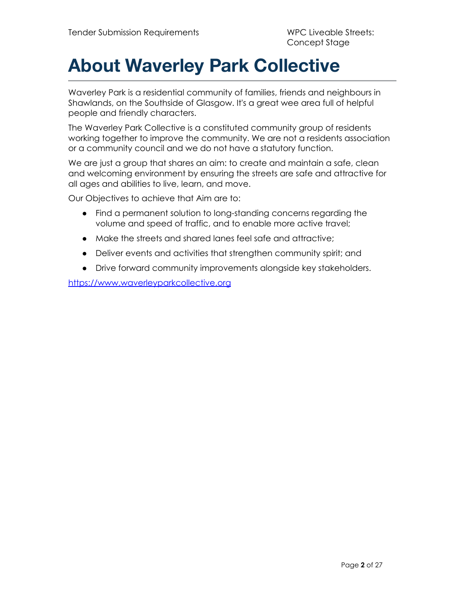# **About Waverley Park Collective**

Waverley Park is a residential community of families, friends and neighbours in Shawlands, on the Southside of Glasgow. It's a great wee area full of helpful people and friendly characters.

The Waverley Park Collective is a constituted community group of residents working together to improve the community. We are not a residents association or a community council and we do not have a statutory function.

We are just a group that shares an aim: to create and maintain a safe, clean and welcoming environment by ensuring the streets are safe and attractive for all ages and abilities to live, learn, and move.

Our Objectives to achieve that Aim are to:

- Find a permanent solution to long-standing concerns regarding the volume and speed of traffic, and to enable more active travel;
- Make the streets and shared lanes feel safe and attractive;
- Deliver events and activities that strengthen community spirit; and
- Drive forward community improvements alongside key stakeholders.

<https://www.waverleyparkcollective.org>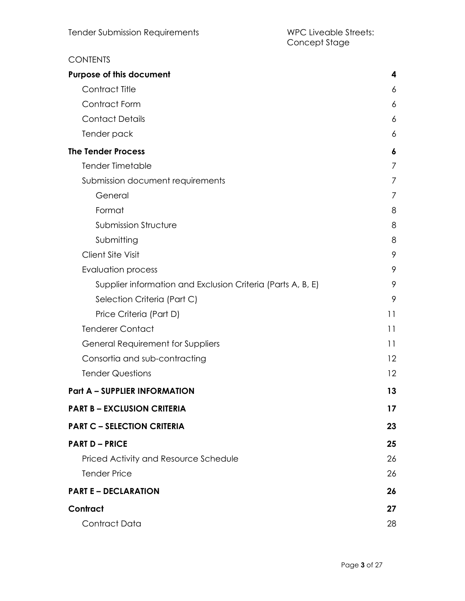#### **CONTENTS Purpose of this [document](#page-4-0) [4](#page-4-0)** [Contract](#page-5-0) Title [6](#page-5-0)4 [Contract](#page-5-1) Form [6](#page-5-1) [Contact](#page-5-2) Details [6](#page-5-2) [Tender](#page-5-3) pack [6](#page-5-3) **The Tender [Process](#page-6-0) [6](#page-6-0)** Tender [Timetable](#page-6-1) [7](#page-6-1) Submission document [requirements](#page-6-2) [7](#page-6-2) [General](#page-6-3) [7](#page-6-3) and 7 and 7 and 7 and 7 and 7 and 7 and 7 and 7 and 7 and 7 and 7 and 7 and 7 and 7 and 7 and 7 and 7 and 7 and 7 and 7 and 7 and 7 and 7 and 7 and 7 and 7 and 7 and 7 and 7 and 7 and 7 and 7 and 7 and 7 and 7 an [Format](#page-7-0) [8](#page-7-0) [Submission](#page-7-1) Structure [8](#page-7-1) [Submitting](#page-7-2) [8](#page-7-2) [Client](#page-8-0) Site Visit [9](#page-8-0) [Evaluation](#page-8-1) process [9](#page-8-1) Supplier [information](#page-8-2) and Exclusion Criteria (Parts A, B, E) [9](#page-8-2) [Selection](#page-8-3) Criteria (Part C) [9](#page-8-3) Price [Criteria](#page-10-0) (Part D) [11](#page-10-0) [Tenderer](#page-10-1) Contact [11](#page-10-1) General [Requirement](#page-10-2) for Suppliers [11](#page-10-2) and 11 and 11 and 11 and 11 and 11 and 11 and 11 and 11 and 11 and 11 and 11 and 11 and 11 and 11 and 11 and 11 and 11 and 11 and 11 and 11 and 12 and 12 and 12 and 12 and 12 and 12 and Consortia and [sub-contracting](#page-11-0) [12](#page-11-0) Tender [Questions](#page-11-1) [12](#page-11-1) **Part A – SUPPLIER [INFORMATION](#page-13-0) [13](#page-13-0) PART B – [EXCLUSION](#page-17-0) CRITERIA [17](#page-17-0) PART C – [SELECTION](#page-23-0) CRITERIA [23](#page-23-0) PART D – [PRICE](#page-25-0) [25](#page-25-0)** Priced Activity and Resource [Schedule](#page-25-1) [26](#page-25-1) [Tender](#page-25-2) Price [26](#page-25-2) **PART E – [DECLARATION](#page-26-0) [26](#page-26-0) [Contract](#page-26-1) [27](#page-26-1)** Contract Data 28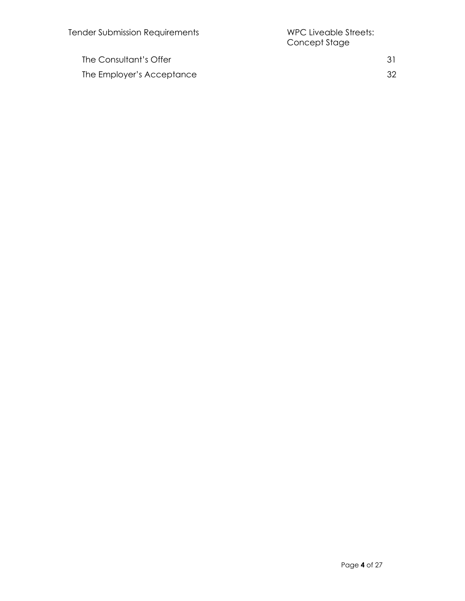The Consultant's Offer 31 The Employer's Acceptance 32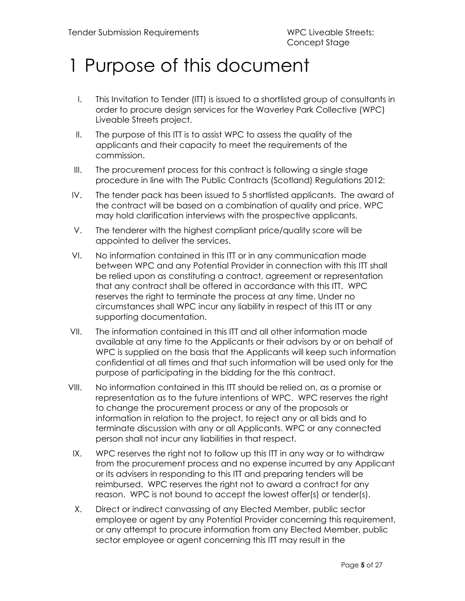# <span id="page-4-0"></span>1 Purpose of this document

- I. This Invitation to Tender (ITT) is issued to a shortlisted group of consultants in order to procure design services for the Waverley Park Collective (WPC) Liveable Streets project.
- II. The purpose of this ITT is to assist WPC to assess the quality of the applicants and their capacity to meet the requirements of the commission.
- III. The procurement process for this contract is following a single stage procedure in line with The Public Contracts (Scotland) Regulations 2012:
- IV. The tender pack has been issued to 5 shortlisted applicants. The award of the contract will be based on a combination of quality and price. WPC may hold clarification interviews with the prospective applicants.
- V. The tenderer with the highest compliant price/quality score will be appointed to deliver the services.
- VI. No information contained in this ITT or in any communication made between WPC and any Potential Provider in connection with this ITT shall be relied upon as constituting a contract, agreement or representation that any contract shall be offered in accordance with this ITT. WPC reserves the right to terminate the process at any time. Under no circumstances shall WPC incur any liability in respect of this ITT or any supporting documentation.
- VII. The information contained in this ITT and all other information made available at any time to the Applicants or their advisors by or on behalf of WPC is supplied on the basis that the Applicants will keep such information confidential at all times and that such information will be used only for the purpose of participating in the bidding for the this contract.
- VIII. No information contained in this ITT should be relied on, as a promise or representation as to the future intentions of WPC. WPC reserves the right to change the procurement process or any of the proposals or information in relation to the project, to reject any or all bids and to terminate discussion with any or all Applicants. WPC or any connected person shall not incur any liabilities in that respect.
- IX. WPC reserves the right not to follow up this ITT in any way or to withdraw from the procurement process and no expense incurred by any Applicant or its advisers in responding to this ITT and preparing tenders will be reimbursed. WPC reserves the right not to award a contract for any reason. WPC is not bound to accept the lowest offer(s) or tender(s).
- X. Direct or indirect canvassing of any Elected Member, public sector employee or agent by any Potential Provider concerning this requirement, or any attempt to procure information from any Elected Member, public sector employee or agent concerning this ITT may result in the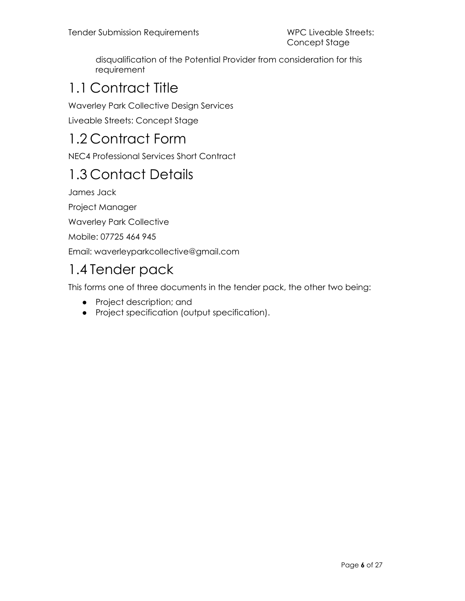disqualification of the Potential Provider from consideration for this requirement

## <span id="page-5-0"></span>1.1 Contract Title

Waverley Park Collective Design Services

Liveable Streets: Concept Stage

### <span id="page-5-1"></span>1.2 Contract Form

NEC4 Professional Services Short Contract

## <span id="page-5-2"></span>1.3 Contact Details

James Jack

Project Manager

Waverley Park Collective

Mobile: 07725 464 945

Email: waverleyparkcollective@gmail.com

## <span id="page-5-3"></span>1.4 Tender pack

This forms one of three documents in the tender pack, the other two being:

- Project description; and
- Project specification (output specification).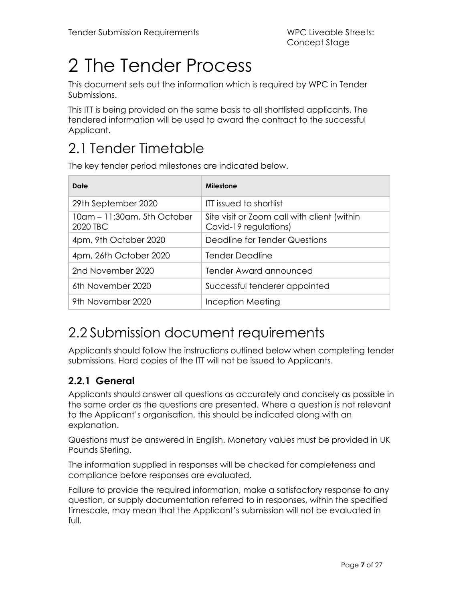# <span id="page-6-0"></span>2 The Tender Process

This document sets out the information which is required by WPC in Tender Submissions.

This ITT is being provided on the same basis to all shortlisted applicants. The tendered information will be used to award the contract to the successful Applicant.

## <span id="page-6-1"></span>2.1 Tender Timetable

The key tender period milestones are indicated below.

| Date                                    | Milestone                                                            |
|-----------------------------------------|----------------------------------------------------------------------|
| 29th September 2020                     | <b>ITT issued to shortlist</b>                                       |
| 10am - 11:30am, 5th October<br>2020 TBC | Site visit or Zoom call with client (within<br>Covid-19 regulations) |
| 4pm, 9th October 2020                   | Deadline for Tender Questions                                        |
| 4pm, 26th October 2020                  | <b>Tender Deadline</b>                                               |
| 2nd November 2020                       | Tender Award announced                                               |
| 6th November 2020                       | Successful tenderer appointed                                        |
| 9th November 2020                       | Inception Meeting                                                    |

### <span id="page-6-2"></span>2.2 Submission document requirements

Applicants should follow the instructions outlined below when completing tender submissions. Hard copies of the ITT will not be issued to Applicants.

#### <span id="page-6-3"></span>**2.2.1 General**

Applicants should answer all questions as accurately and concisely as possible in the same order as the questions are presented. Where a question is not relevant to the Applicant's organisation, this should be indicated along with an explanation.

Questions must be answered in English. Monetary values must be provided in UK Pounds Sterling.

The information supplied in responses will be checked for completeness and compliance before responses are evaluated.

Failure to provide the required information, make a satisfactory response to any question, or supply documentation referred to in responses, within the specified timescale, may mean that the Applicant's submission will not be evaluated in full.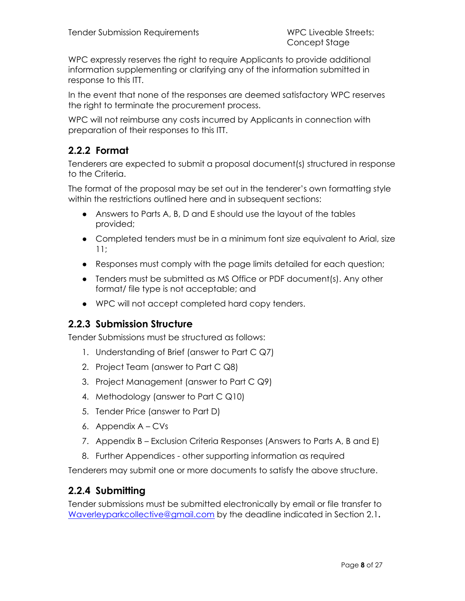WPC expressly reserves the right to require Applicants to provide additional information supplementing or clarifying any of the information submitted in response to this ITT.

In the event that none of the responses are deemed satisfactory WPC reserves the right to terminate the procurement process.

WPC will not reimburse any costs incurred by Applicants in connection with preparation of their responses to this ITT.

#### <span id="page-7-0"></span>**2.2.2 Format**

Tenderers are expected to submit a proposal document(s) structured in response to the Criteria.

The format of the proposal may be set out in the tenderer's own formatting style within the restrictions outlined here and in subsequent sections:

- Answers to Parts A, B, D and E should use the layout of the tables provided;
- Completed tenders must be in a minimum font size equivalent to Arial, size 11;
- Responses must comply with the page limits detailed for each question;
- Tenders must be submitted as MS Office or PDF document(s). Any other format/ file type is not acceptable; and
- WPC will not accept completed hard copy tenders.

#### <span id="page-7-1"></span>**2.2.3 Submission Structure**

Tender Submissions must be structured as follows:

- 1. Understanding of Brief (answer to Part C Q7)
- 2. Project Team (answer to Part C Q8)
- 3. Project Management (answer to Part C Q9)
- 4. Methodology (answer to Part C Q10)
- 5. Tender Price (answer to Part D)
- 6. Appendix A CVs
- 7. Appendix B Exclusion Criteria Responses (Answers to Parts A, B and E)
- 8. Further Appendices other supporting information as required

Tenderers may submit one or more documents to satisfy the above structure.

#### <span id="page-7-2"></span>**2.2.4 Submitting**

Tender submissions must be submitted electronically by email or file transfer to [Waverleyparkcollective@gmail.com](mailto:Waverleyparkcollective@gmail.com) by the deadline indicated in Section 2.1**.**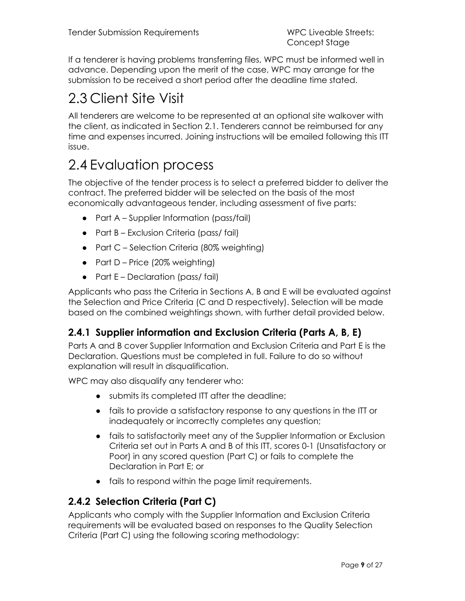If a tenderer is having problems transferring files, WPC must be informed well in advance. Depending upon the merit of the case, WPC may arrange for the submission to be received a short period after the deadline time stated.

## <span id="page-8-0"></span>2.3 Client Site Visit

All tenderers are welcome to be represented at an optional site walkover with the client, as indicated in Section 2.1. Tenderers cannot be reimbursed for any time and expenses incurred. Joining instructions will be emailed following this ITT issue.

### <span id="page-8-1"></span>2.4 Evaluation process

The objective of the tender process is to select a preferred bidder to deliver the contract. The preferred bidder will be selected on the basis of the most economically advantageous tender, including assessment of five parts:

- Part A Supplier Information (pass/fail)
- Part B Exclusion Criteria (pass/ fail)
- Part C Selection Criteria (80% weighting)
- Part D Price (20% weighting)
- Part E Declaration (pass/ fail)

Applicants who pass the Criteria in Sections A, B and E will be evaluated against the Selection and Price Criteria (C and D respectively). Selection will be made based on the combined weightings shown, with further detail provided below.

#### <span id="page-8-2"></span>**2.4.1 Supplier information and Exclusion Criteria (Parts A, B, E)**

Parts A and B cover Supplier Information and Exclusion Criteria and Part E is the Declaration. Questions must be completed in full. Failure to do so without explanation will result in disqualification.

WPC may also disqualify any tenderer who:

- submits its completed ITT after the deadline;
- fails to provide a satisfactory response to any questions in the ITT or inadequately or incorrectly completes any question;
- fails to satisfactorily meet any of the Supplier Information or Exclusion Criteria set out in Parts A and B of this ITT, scores 0-1 (Unsatisfactory or Poor) in any scored question (Part C) or fails to complete the Declaration in Part E; or
- fails to respond within the page limit requirements.

#### <span id="page-8-3"></span>**2.4.2 Selection Criteria (Part C)**

Applicants who comply with the Supplier Information and Exclusion Criteria requirements will be evaluated based on responses to the Quality Selection Criteria (Part C) using the following scoring methodology: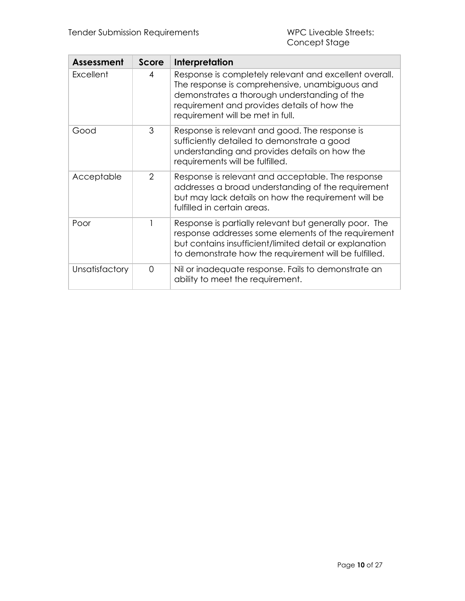| Assessment     | Score    | Interpretation                                                                                                                                                                                                                              |
|----------------|----------|---------------------------------------------------------------------------------------------------------------------------------------------------------------------------------------------------------------------------------------------|
| Excellent      | 4        | Response is completely relevant and excellent overall.<br>The response is comprehensive, unambiguous and<br>demonstrates a thorough understanding of the<br>requirement and provides details of how the<br>requirement will be met in full. |
| Good           | 3        | Response is relevant and good. The response is<br>sufficiently detailed to demonstrate a good<br>understanding and provides details on how the<br>requirements will be fulfilled.                                                           |
| Acceptable     | 2        | Response is relevant and acceptable. The response<br>addresses a broad understanding of the requirement<br>but may lack details on how the requirement will be<br>fulfilled in certain areas.                                               |
| Poor           |          | Response is partially relevant but generally poor. The<br>response addresses some elements of the requirement<br>but contains insufficient/limited detail or explanation<br>to demonstrate how the requirement will be fulfilled.           |
| Unsatisfactory | $\Omega$ | Nil or inadequate response. Fails to demonstrate an<br>ability to meet the requirement.                                                                                                                                                     |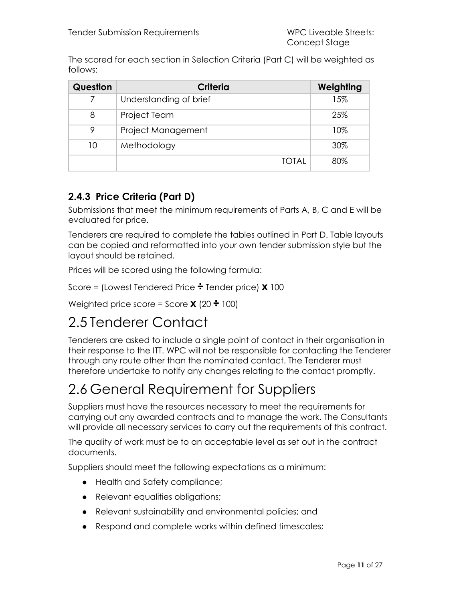The scored for each section in Selection Criteria (Part C) will be weighted as follows:

| Question | Criteria               | Weighting |
|----------|------------------------|-----------|
|          | Understanding of brief | 15%       |
| 8        | <b>Project Team</b>    | 25%       |
| 9        | Project Management     | 10%       |
| 10       | Methodology            | 30%       |
|          | TOTAL                  | 80%       |

#### <span id="page-10-0"></span>**2.4.3 Price Criteria (Part D)**

Submissions that meet the minimum requirements of Parts A, B, C and E will be evaluated for price.

Tenderers are required to complete the tables outlined in Part D. Table layouts can be copied and reformatted into your own tender submission style but the layout should be retained.

Prices will be scored using the following formula:

Score = (Lowest Tendered Price **÷** Tender price) **x** 100

Weighted price score = Score **x** (20 **÷** 100)

### <span id="page-10-1"></span>2.5 Tenderer Contact

Tenderers are asked to include a single point of contact in their organisation in their response to the ITT. WPC will not be responsible for contacting the Tenderer through any route other than the nominated contact. The Tenderer must therefore undertake to notify any changes relating to the contact promptly.

### <span id="page-10-2"></span>2.6 General Requirement for Suppliers

Suppliers must have the resources necessary to meet the requirements for carrying out any awarded contracts and to manage the work. The Consultants will provide all necessary services to carry out the requirements of this contract.

The quality of work must be to an acceptable level as set out in the contract documents.

Suppliers should meet the following expectations as a minimum:

- Health and Safety compliance;
- Relevant equalities obligations;
- Relevant sustainability and environmental policies; and
- Respond and complete works within defined timescales;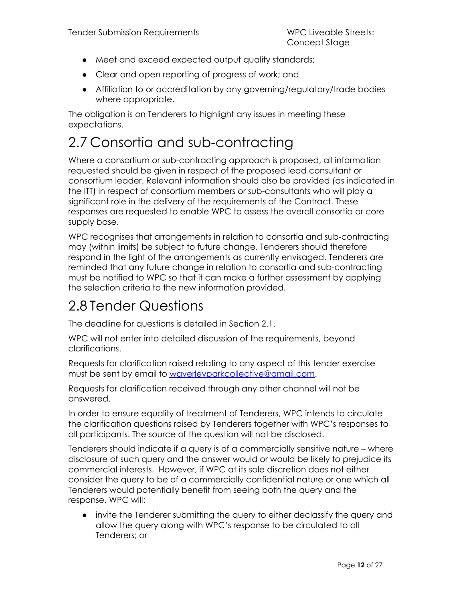- Meet and exceed expected output quality standards;
- Clear and open reporting of progress of work; and
- Affiliation to or accreditation by any governing/regulatory/trade bodies where appropriate.

The obligation is on Tenderers to highlight any issues in meeting these expectations.

### <span id="page-11-0"></span>2.7 Consortia and sub-contracting

Where a consortium or sub-contracting approach is proposed, all information requested should be given in respect of the proposed lead consultant or consortium leader. Relevant information should also be provided (as indicated in the ITT) in respect of consortium members or sub-consultants who will play a significant role in the delivery of the requirements of the Contract. These responses are requested to enable WPC to assess the overall consortia or core supply base.

WPC recognises that arrangements in relation to consortia and sub-contracting may (within limits) be subject to future change. Tenderers should therefore respond in the light of the arrangements as currently envisaged. Tenderers are reminded that any future change in relation to consortia and sub-contracting must be notified to WPC so that it can make a further assessment by applying the selection criteria to the new information provided.

### <span id="page-11-1"></span>2.8 Tender Questions

The deadline for questions is detailed in Section 2.1.

WPC will not enter into detailed discussion of the requirements, beyond clarifications.

Requests for clarification raised relating to any aspect of this tender exercise must be sent by email to [waverleyparkcollective@gmail.com.](mailto:waverleyparkcollective@gmail.com)

Requests for clarification received through any other channel will not be answered.

In order to ensure equality of treatment of Tenderers, WPC intends to circulate the clarification questions raised by Tenderers together with WPC's responses to all participants. The source of the question will not be disclosed.

Tenderers should indicate if a query is of a commercially sensitive nature – where disclosure of such query and the answer would or would be likely to prejudice its commercial interests. However, if WPC at its sole discretion does not either consider the query to be of a commercially confidential nature or one which all Tenderers would potentially benefit from seeing both the query and the response, WPC will:

● invite the Tenderer submitting the query to either declassify the query and allow the query along with WPC's response to be circulated to all Tenderers; or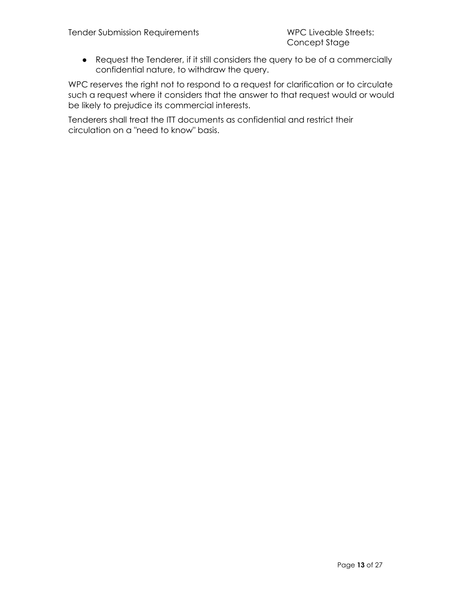● Request the Tenderer, if it still considers the query to be of a commercially confidential nature, to withdraw the query.

WPC reserves the right not to respond to a request for clarification or to circulate such a request where it considers that the answer to that request would or would be likely to prejudice its commercial interests.

Tenderers shall treat the ITT documents as confidential and restrict their circulation on a "need to know" basis.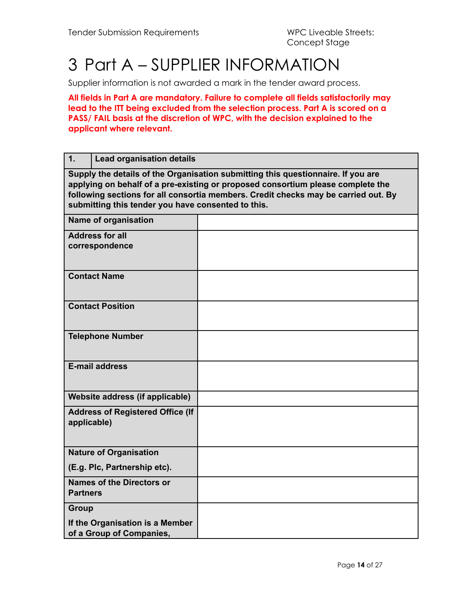## <span id="page-13-0"></span>3 Part A – SUPPLIER INFORMATION

Supplier information is not awarded a mark in the tender award process.

**All fields in Part A are mandatory. Failure to complete all fields satisfactorily may lead to the ITT being excluded from the selection process. Part A is scored on a PASS/ FAIL basis at the discretion of WPC, with the decision explained to the applicant where relevant.**

| 1.              | <b>Lead organisation details</b>                                                                                                                                                                                                                                                                                |  |  |
|-----------------|-----------------------------------------------------------------------------------------------------------------------------------------------------------------------------------------------------------------------------------------------------------------------------------------------------------------|--|--|
|                 | Supply the details of the Organisation submitting this questionnaire. If you are<br>applying on behalf of a pre-existing or proposed consortium please complete the<br>following sections for all consortia members. Credit checks may be carried out. By<br>submitting this tender you have consented to this. |  |  |
|                 | <b>Name of organisation</b>                                                                                                                                                                                                                                                                                     |  |  |
|                 | <b>Address for all</b><br>correspondence                                                                                                                                                                                                                                                                        |  |  |
|                 | <b>Contact Name</b>                                                                                                                                                                                                                                                                                             |  |  |
|                 | <b>Contact Position</b>                                                                                                                                                                                                                                                                                         |  |  |
|                 | <b>Telephone Number</b>                                                                                                                                                                                                                                                                                         |  |  |
|                 | <b>E-mail address</b>                                                                                                                                                                                                                                                                                           |  |  |
|                 | Website address (if applicable)                                                                                                                                                                                                                                                                                 |  |  |
| applicable)     | <b>Address of Registered Office (If</b>                                                                                                                                                                                                                                                                         |  |  |
|                 | <b>Nature of Organisation</b>                                                                                                                                                                                                                                                                                   |  |  |
|                 | (E.g. Plc, Partnership etc).                                                                                                                                                                                                                                                                                    |  |  |
| <b>Partners</b> | <b>Names of the Directors or</b>                                                                                                                                                                                                                                                                                |  |  |
| <b>Group</b>    |                                                                                                                                                                                                                                                                                                                 |  |  |
|                 | If the Organisation is a Member<br>of a Group of Companies,                                                                                                                                                                                                                                                     |  |  |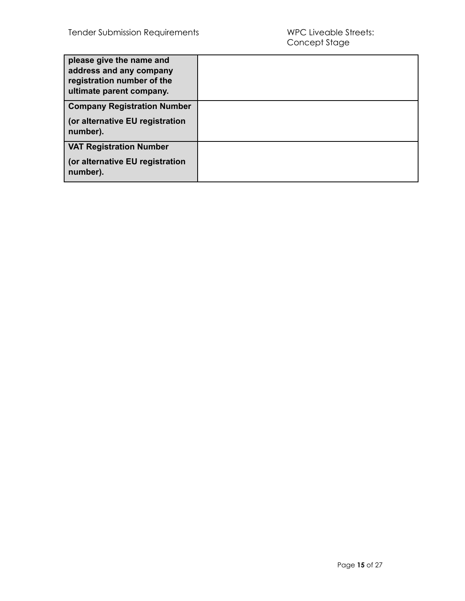| please give the name and<br>address and any company<br>registration number of the<br>ultimate parent company. |  |
|---------------------------------------------------------------------------------------------------------------|--|
| <b>Company Registration Number</b>                                                                            |  |
| (or alternative EU registration<br>number).                                                                   |  |
| <b>VAT Registration Number</b>                                                                                |  |
| (or alternative EU registration<br>number).                                                                   |  |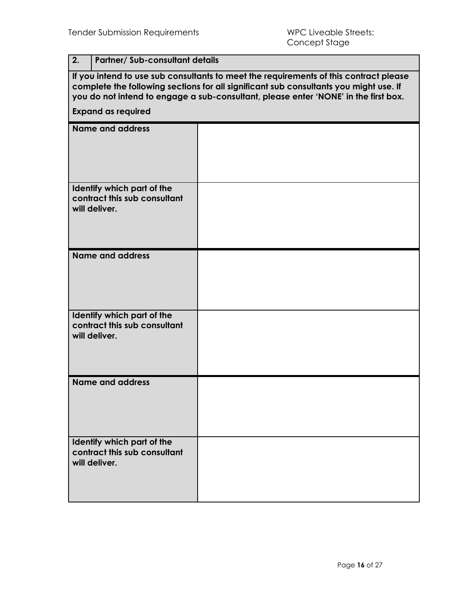| 2.                                                                                                                                                                                                                                                                    | <b>Partner/ Sub-consultant details</b> |  |  |
|-----------------------------------------------------------------------------------------------------------------------------------------------------------------------------------------------------------------------------------------------------------------------|----------------------------------------|--|--|
| If you intend to use sub consultants to meet the requirements of this contract please<br>complete the following sections for all significant sub consultants you might use. If<br>you do not intend to engage a sub-consultant, please enter 'NONE' in the first box. |                                        |  |  |
| <b>Expand as required</b>                                                                                                                                                                                                                                             |                                        |  |  |
| <b>Name and address</b>                                                                                                                                                                                                                                               |                                        |  |  |
| Identify which part of the<br>contract this sub consultant<br>will deliver.                                                                                                                                                                                           |                                        |  |  |
| <b>Name and address</b>                                                                                                                                                                                                                                               |                                        |  |  |
| Identify which part of the<br>contract this sub consultant<br>will deliver.                                                                                                                                                                                           |                                        |  |  |
| <b>Name and address</b>                                                                                                                                                                                                                                               |                                        |  |  |
| Identify which part of the<br>contract this sub consultant<br>will deliver.                                                                                                                                                                                           |                                        |  |  |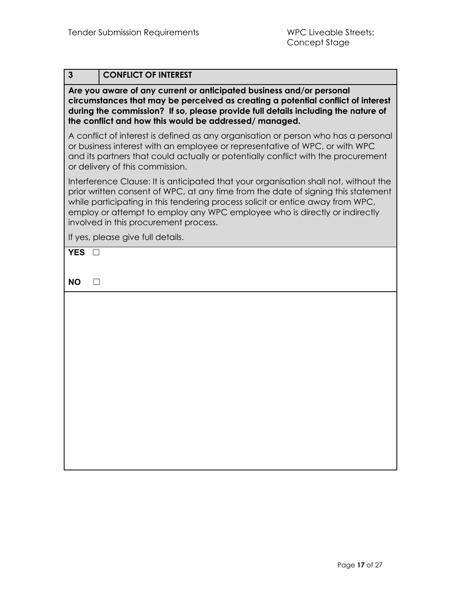| $\mathbf{3}$         | <b>CONFLICT OF INTEREST</b>                                                                                                                                                                                                                                                                                                                                                        |
|----------------------|------------------------------------------------------------------------------------------------------------------------------------------------------------------------------------------------------------------------------------------------------------------------------------------------------------------------------------------------------------------------------------|
|                      | Are you aware of any current or anticipated business and/or personal<br>circumstances that may be perceived as creating a potential conflict of interest<br>during the commission? If so, please provide full details including the nature of<br>the conflict and how this would be addressed/managed.                                                                             |
|                      | A conflict of interest is defined as any organisation or person who has a personal<br>or business interest with an employee or representative of WPC, or with WPC<br>and its partners that could actually or potentially conflict with the procurement<br>or delivery of this commission.                                                                                          |
|                      | Interference Clause: It is anticipated that your organisation shall not, without the<br>prior written consent of WPC, at any time from the date of signing this statement<br>while participating in this tendering process solicit or entice away from WPC,<br>employ or attempt to employ any WPC employee who is directly or indirectly<br>involved in this procurement process. |
|                      | If yes, please give full details.                                                                                                                                                                                                                                                                                                                                                  |
| <b>YES</b>           |                                                                                                                                                                                                                                                                                                                                                                                    |
|                      |                                                                                                                                                                                                                                                                                                                                                                                    |
| <b>NO</b><br>$\perp$ |                                                                                                                                                                                                                                                                                                                                                                                    |
|                      |                                                                                                                                                                                                                                                                                                                                                                                    |
|                      |                                                                                                                                                                                                                                                                                                                                                                                    |
|                      |                                                                                                                                                                                                                                                                                                                                                                                    |
|                      |                                                                                                                                                                                                                                                                                                                                                                                    |
|                      |                                                                                                                                                                                                                                                                                                                                                                                    |
|                      |                                                                                                                                                                                                                                                                                                                                                                                    |
|                      |                                                                                                                                                                                                                                                                                                                                                                                    |
|                      |                                                                                                                                                                                                                                                                                                                                                                                    |
|                      |                                                                                                                                                                                                                                                                                                                                                                                    |
|                      |                                                                                                                                                                                                                                                                                                                                                                                    |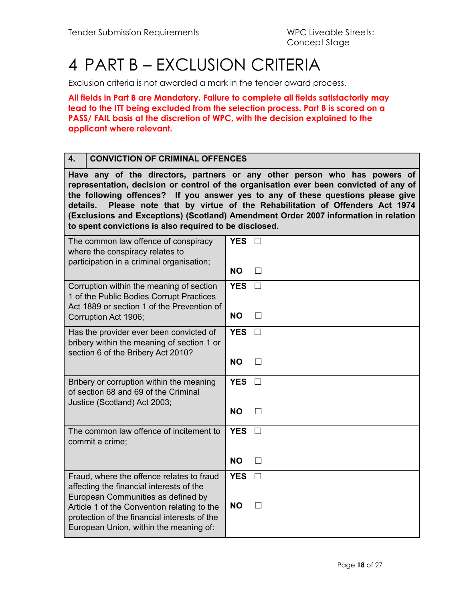## <span id="page-17-0"></span>4 PART B – EXCLUSION CRITERIA

Exclusion criteria is not awarded a mark in the tender award process.

**All fields in Part B are Mandatory. Failure to complete all fields satisfactorily may lead to the ITT being excluded from the selection process. Part B is scored on a PASS/ FAIL basis at the discretion of WPC, with the decision explained to the applicant where relevant.**

#### **4. CONVICTION OF CRIMINAL OFFENCES**

**Have any of the directors, partners or any other person who has powers of representation, decision or control of the organisation ever been convicted of any of the following offences? If you answer yes to any of these questions please give details. Please note that by virtue of the Rehabilitation of Offenders Act 1974 (Exclusions and Exceptions) (Scotland) Amendment Order 2007 information in relation to spent convictions is also required to be disclosed.**

| The common law offence of conspiracy<br>where the conspiracy relates to<br>participation in a criminal organisation;                                                                                                       | <b>YES</b>              |                        |
|----------------------------------------------------------------------------------------------------------------------------------------------------------------------------------------------------------------------------|-------------------------|------------------------|
|                                                                                                                                                                                                                            | <b>NO</b>               | $\mathsf{L}$           |
| Corruption within the meaning of section<br>1 of the Public Bodies Corrupt Practices<br>Act 1889 or section 1 of the Prevention of<br>Corruption Act 1906;                                                                 | <b>YES</b><br><b>NO</b> | $\Box$<br>$\mathsf{L}$ |
| Has the provider ever been convicted of<br>bribery within the meaning of section 1 or<br>section 6 of the Bribery Act 2010?                                                                                                | <b>YES</b>              | $\Box$                 |
|                                                                                                                                                                                                                            | <b>NO</b>               |                        |
| Bribery or corruption within the meaning<br>of section 68 and 69 of the Criminal<br>Justice (Scotland) Act 2003;                                                                                                           | <b>YES</b>              |                        |
|                                                                                                                                                                                                                            | <b>NO</b>               | $\perp$                |
| The common law offence of incitement to<br>commit a crime;                                                                                                                                                                 | <b>YES</b>              |                        |
|                                                                                                                                                                                                                            | <b>NO</b>               |                        |
| Fraud, where the offence relates to fraud<br>affecting the financial interests of the<br>European Communities as defined by<br>Article 1 of the Convention relating to the<br>protection of the financial interests of the | <b>YES</b><br><b>NO</b> | $\Box$                 |
| European Union, within the meaning of:                                                                                                                                                                                     |                         |                        |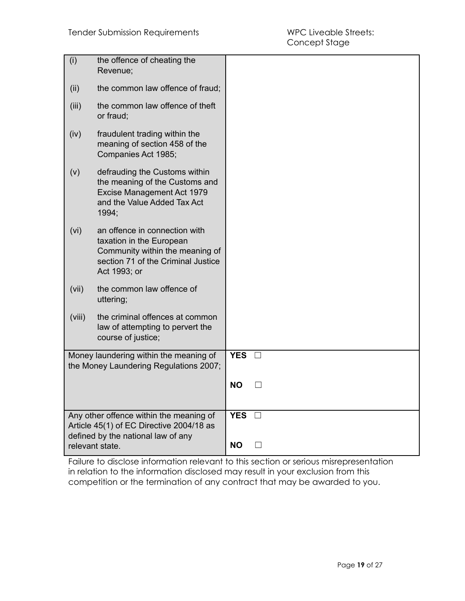| (i)    | the offence of cheating the<br>Revenue;                                                                                                            |            |         |
|--------|----------------------------------------------------------------------------------------------------------------------------------------------------|------------|---------|
| (ii)   | the common law offence of fraud;                                                                                                                   |            |         |
| (iii)  | the common law offence of theft<br>or fraud;                                                                                                       |            |         |
| (iv)   | fraudulent trading within the<br>meaning of section 458 of the<br>Companies Act 1985;                                                              |            |         |
| (v)    | defrauding the Customs within<br>the meaning of the Customs and<br>Excise Management Act 1979<br>and the Value Added Tax Act<br>1994;              |            |         |
| (vi)   | an offence in connection with<br>taxation in the European<br>Community within the meaning of<br>section 71 of the Criminal Justice<br>Act 1993; or |            |         |
| (vii)  | the common law offence of<br>uttering;                                                                                                             |            |         |
| (viii) | the criminal offences at common<br>law of attempting to pervert the<br>course of justice;                                                          |            |         |
|        | Money laundering within the meaning of<br>the Money Laundering Regulations 2007;                                                                   | <b>YES</b> | $\Box$  |
|        |                                                                                                                                                    | <b>NO</b>  |         |
|        | Any other offence within the meaning of<br>Article 45(1) of EC Directive 2004/18 as<br>defined by the national law of any                          | <b>YES</b> |         |
|        | relevant state.                                                                                                                                    | <b>NO</b>  | $\perp$ |

Failure to disclose information relevant to this section or serious misrepresentation in relation to the information disclosed may result in your exclusion from this competition or the termination of any contract that may be awarded to you.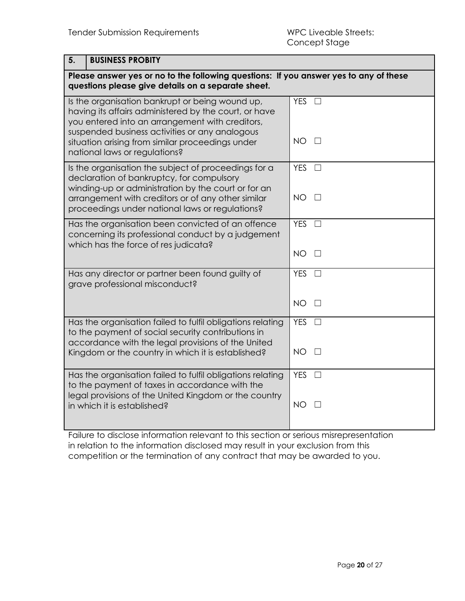**5. BUSINESS PROBITY**

| 5.<br><b>BUSINESS PROBILY</b>                                                                                                                                                                                                                                                                      |                                        |
|----------------------------------------------------------------------------------------------------------------------------------------------------------------------------------------------------------------------------------------------------------------------------------------------------|----------------------------------------|
| Please answer yes or no to the following questions: If you answer yes to any of these<br>questions please give details on a separate sheet.                                                                                                                                                        |                                        |
| Is the organisation bankrupt or being wound up,<br>having its affairs administered by the court, or have<br>you entered into an arrangement with creditors,<br>suspended business activities or any analogous<br>situation arising from similar proceedings under<br>national laws or regulations? | <b>YES</b><br>$\Box$<br><b>NO</b><br>П |
| Is the organisation the subject of proceedings for a                                                                                                                                                                                                                                               | <b>YES</b><br>$\Box$                   |
| declaration of bankruptcy, for compulsory<br>winding-up or administration by the court or for an<br>arrangement with creditors or of any other similar                                                                                                                                             | <b>NO</b><br>$\perp$                   |
| proceedings under national laws or regulations?                                                                                                                                                                                                                                                    |                                        |
| Has the organisation been convicted of an offence<br>concerning its professional conduct by a judgement<br>which has the force of res judicata?                                                                                                                                                    | <b>YES</b><br>$\Box$                   |
|                                                                                                                                                                                                                                                                                                    | <b>NO</b><br>П                         |
| Has any director or partner been found guilty of<br>grave professional misconduct?                                                                                                                                                                                                                 | <b>YES</b><br>$\perp$                  |
|                                                                                                                                                                                                                                                                                                    | <b>NO</b><br>$\Box$                    |
| Has the organisation failed to fulfil obligations relating<br>to the payment of social security contributions in<br>accordance with the legal provisions of the United                                                                                                                             | <b>YES</b><br>$\Box$                   |
| Kingdom or the country in which it is established?                                                                                                                                                                                                                                                 | NO.<br>$\Box$                          |
| Has the organisation failed to fulfil obligations relating<br>to the payment of taxes in accordance with the<br>legal provisions of the United Kingdom or the country                                                                                                                              | <b>YES</b><br>ГI                       |
| in which it is established?                                                                                                                                                                                                                                                                        | <b>NO</b>                              |

Failure to disclose information relevant to this section or serious misrepresentation in relation to the information disclosed may result in your exclusion from this competition or the termination of any contract that may be awarded to you.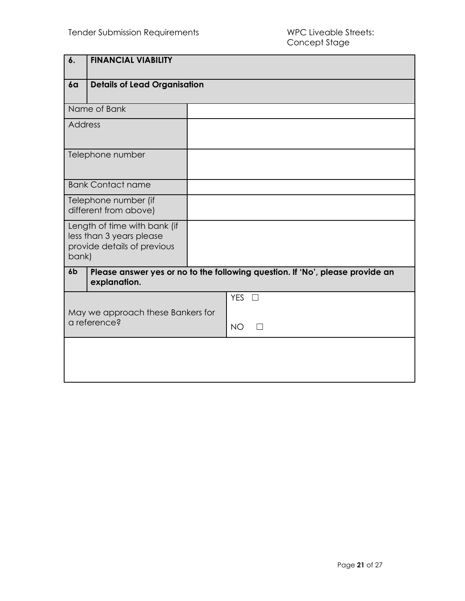| 6.                                                | <b>FINANCIAL VIABILITY</b>                                                              |                                                                               |
|---------------------------------------------------|-----------------------------------------------------------------------------------------|-------------------------------------------------------------------------------|
| 6a                                                | <b>Details of Lead Organisation</b>                                                     |                                                                               |
|                                                   | Name of Bank                                                                            |                                                                               |
| <b>Address</b>                                    |                                                                                         |                                                                               |
|                                                   | Telephone number                                                                        |                                                                               |
|                                                   | <b>Bank Contact name</b>                                                                |                                                                               |
|                                                   | Telephone number (if<br>different from above)                                           |                                                                               |
| bank)                                             | Length of time with bank (if<br>less than 3 years please<br>provide details of previous |                                                                               |
| 6 <sub>b</sub>                                    | explanation.                                                                            | Please answer yes or no to the following question. If 'No', please provide an |
| May we approach these Bankers for<br>a reference? |                                                                                         | $YES$ $\square$<br><b>NO</b>                                                  |
|                                                   |                                                                                         |                                                                               |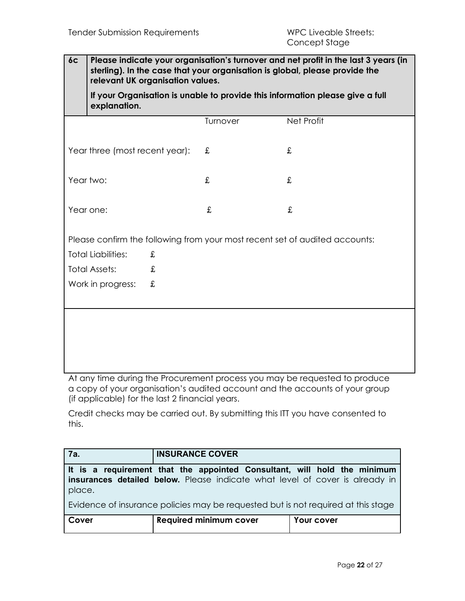**6c Please indicate your organisation's turnover and net profit in the last 3 years (in sterling). In the case that your organisation is global, please provide the relevant UK organisation values.**

**If your Organisation is unable to provide this information please give a full explanation.**

|                                |   | Turnover | Net Profit                                                                  |
|--------------------------------|---|----------|-----------------------------------------------------------------------------|
| Year three (most recent year): |   | £        | £                                                                           |
| Year two:                      |   | £        | £                                                                           |
| Year one:                      |   | £        | £                                                                           |
|                                |   |          | Please confirm the following from your most recent set of audited accounts: |
| <b>Total Liabilities:</b>      | £ |          |                                                                             |
| <b>Total Assets:</b>           | £ |          |                                                                             |
| Work in progress:              | £ |          |                                                                             |
|                                |   |          |                                                                             |
|                                |   |          |                                                                             |
|                                |   |          |                                                                             |
|                                |   |          |                                                                             |
|                                |   |          |                                                                             |

At any time during the Procurement process you may be requested to produce a copy of your organisation's audited account and the accounts of your group (if applicable) for the last 2 financial years.

Credit checks may be carried out. By submitting this ITT you have consented to this.

| <b>7a.</b>                                                                                                                                                                | <b>INSURANCE COVER</b>        |            |  |  |
|---------------------------------------------------------------------------------------------------------------------------------------------------------------------------|-------------------------------|------------|--|--|
| $\mid$ It is a requirement that the appointed Consultant, will hold the minimum<br>insurances detailed below. Please indicate what level of cover is already in<br>place. |                               |            |  |  |
| Evidence of insurance policies may be requested but is not required at this stage                                                                                         |                               |            |  |  |
| Cover                                                                                                                                                                     | <b>Required minimum cover</b> | Your cover |  |  |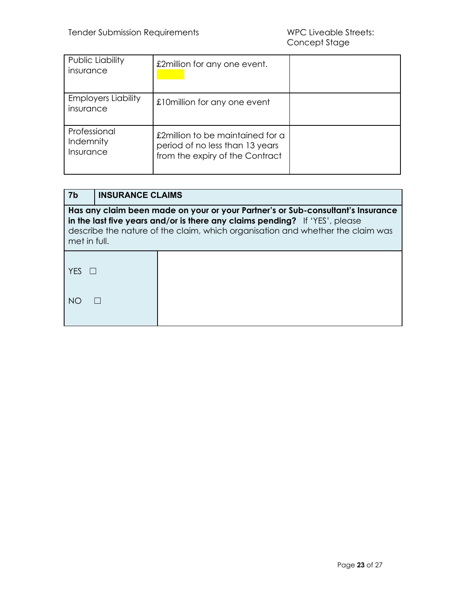| Public Liability<br>insurance           | £2million for any one event.                                                                           |  |
|-----------------------------------------|--------------------------------------------------------------------------------------------------------|--|
| <b>Employers Liability</b><br>insurance | £10 million for any one event                                                                          |  |
| Professional<br>Indemnity<br>Insurance  | £2million to be maintained for a<br>period of no less than 13 years<br>from the expiry of the Contract |  |

| -7b                                                                                                                                                                                                                                                              | <b>INSURANCE CLAIMS</b> |  |
|------------------------------------------------------------------------------------------------------------------------------------------------------------------------------------------------------------------------------------------------------------------|-------------------------|--|
| Has any claim been made on your or your Partner's or Sub-consultant's Insurance<br>in the last five years and/or is there any claims pending? If 'YES', please<br>describe the nature of the claim, which organisation and whether the claim was<br>met in full. |                         |  |
| <b>YFS</b>                                                                                                                                                                                                                                                       |                         |  |
| NC.                                                                                                                                                                                                                                                              |                         |  |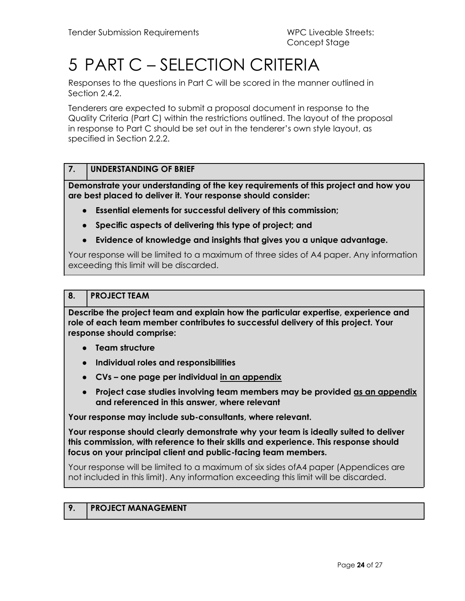## <span id="page-23-0"></span>5 PART C – SELECTION CRITERIA

Responses to the questions in Part C will be scored in the manner outlined in Section 2.4.2.

Tenderers are expected to submit a proposal document in response to the Quality Criteria (Part C) within the restrictions outlined. The layout of the proposal in response to Part C should be set out in the tenderer's own style layout, as specified in Section 2.2.2.

#### **7. UNDERSTANDING OF BRIEF**

**Demonstrate your understanding of the key requirements of this project and how you are best placed to deliver it. Your response should consider:**

- **Essential elements for successful delivery of this commission;**
- **Specific aspects of delivering this type of project; and**
- **Evidence of knowledge and insights that gives you a unique advantage.**

Your response will be limited to a maximum of three sides of A4 paper. Any information exceeding this limit will be discarded.

#### **8. PROJECT TEAM**

**Describe the project team and explain how the particular expertise, experience and role of each team member contributes to successful delivery of this project. Your response should comprise:**

- **Team structure**
- **Individual roles and responsibilities**
- **CVs – one page per individual in an appendix**
- **Project case studies involving team members may be provided as an appendix and referenced in this answer, where relevant**

**Your response may include sub-consultants, where relevant.**

**Your response should clearly demonstrate why your team is ideally suited to deliver this commission, with reference to their skills and experience. This response should focus on your principal client and public-facing team members.**

Your response will be limited to a maximum of six sides ofA4 paper (Appendices are not included in this limit). Any information exceeding this limit will be discarded.

#### **9. PROJECT MANAGEMENT**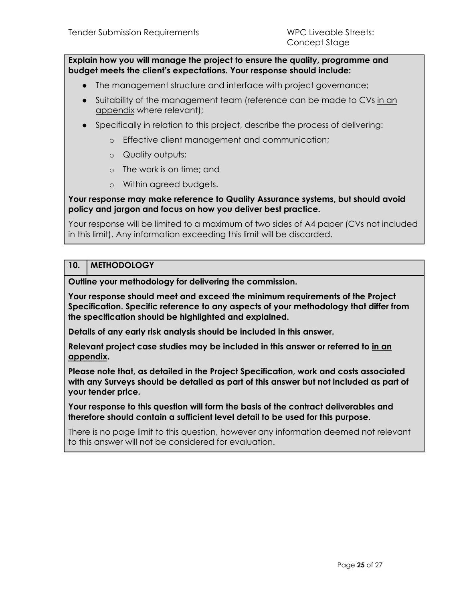**Explain how you will manage the project to ensure the quality, programme and budget meets the client's expectations. Your response should include:**

- The management structure and interface with project governance;
- Suitability of the management team (reference can be made to CVs in an appendix where relevant);
- Specifically in relation to this project, describe the process of delivering:
	- o Effective client management and communication;
	- o Quality outputs;
	- o The work is on time; and
	- o Within agreed budgets.

**Your response may make reference to Quality Assurance systems, but should avoid policy and jargon and focus on how you deliver best practice.**

Your response will be limited to a maximum of two sides of A4 paper (CVs not included in this limit). Any information exceeding this limit will be discarded.

#### **10. METHODOLOGY**

**Outline your methodology for delivering the commission.**

**Your response should meet and exceed the minimum requirements of the Project Specification. Specific reference to any aspects of your methodology that differ from the specification should be highlighted and explained.**

**Details of any early risk analysis should be included in this answer.**

**Relevant project case studies may be included in this answer or referred to in an appendix.**

**Please note that, as detailed in the Project Specification, work and costs associated with any Surveys should be detailed as part of this answer but not included as part of your tender price.**

**Your response to this question will form the basis of the contract deliverables and therefore should contain a sufficient level detail to be used for this purpose.**

There is no page limit to this question, however any information deemed not relevant to this answer will not be considered for evaluation.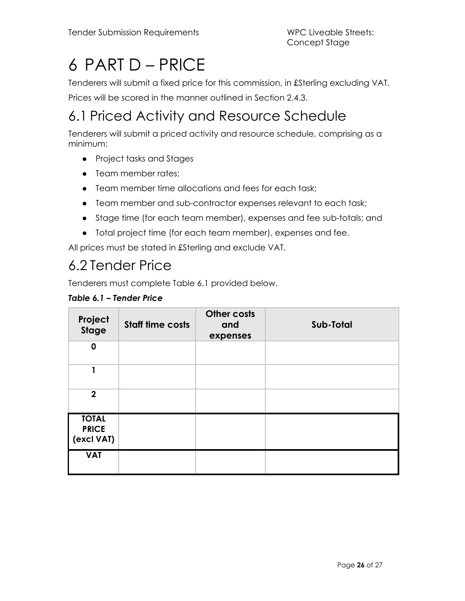## <span id="page-25-0"></span>6 PART D – PRICE

Tenderers will submit a fixed price for this commission, in £Sterling excluding VAT. Prices will be scored in the manner outlined in Section 2.4.3.

## <span id="page-25-1"></span>6.1 Priced Activity and Resource Schedule

Tenderers will submit a priced activity and resource schedule, comprising as a minimum:

- Project tasks and Stages
- Team member rates:
- Team member time allocations and fees for each task;
- Team member and sub-contractor expenses relevant to each task;
- Stage time (for each team member), expenses and fee sub-totals; and
- Total project time (for each team member), expenses and fee.

All prices must be stated in £Sterling and exclude VAT.

### <span id="page-25-2"></span>6.2 Tender Price

Tenderers must complete Table 6.1 provided below.

#### *Table 6.1 – Tender Price*

| Project<br><b>Stage</b>                    | <b>Staff time costs</b> | Other costs<br>and<br>expenses | Sub-Total |
|--------------------------------------------|-------------------------|--------------------------------|-----------|
| $\mathbf 0$                                |                         |                                |           |
| 1                                          |                         |                                |           |
| 2 <sup>1</sup>                             |                         |                                |           |
| <b>TOTAL</b><br><b>PRICE</b><br>(excl VAT) |                         |                                |           |
| <b>VAT</b>                                 |                         |                                |           |